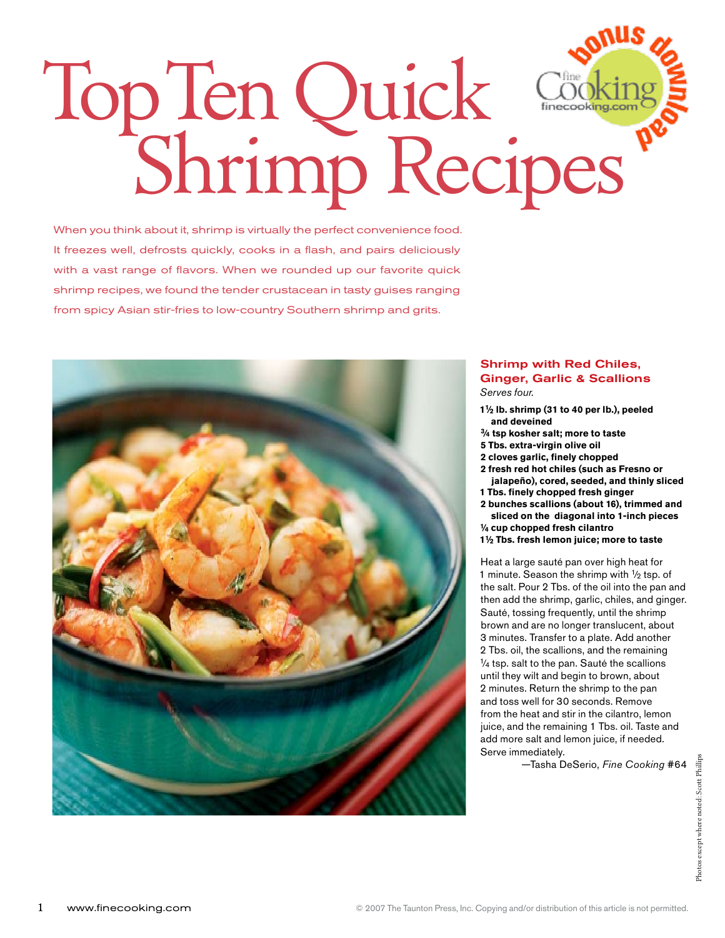# Top Ten Quick Shrimp Recipes

When you think about it, shrimp is virtually the perfect convenience food. It freezes well, defrosts quickly, cooks in a flash, and pairs deliciously with a vast range of flavors. When we rounded up our favorite quick shrimp recipes, we found the tender crustacean in tasty guises ranging from spicy Asian stir-fries to low-country Southern shrimp and grits.



# Shrimp with Red Chiles, Ginger, Garlic & Scallions *Serves four.*

- **11⁄2 lb. shrimp (31 to 40 per lb.), peeled and deveined**
- **3⁄4 tsp kosher salt; more to taste**
- **5 Tbs. extra-virgin olive oil**
- **2 cloves garlic, finely chopped**
- **2 fresh red hot chiles (such as Fresno or jalapeño), cored, seeded, and thinly sliced**
- **1 Tbs. finely chopped fresh ginger**
- **2 bunches scallions (about 16), trimmed and sliced on the diagonal into 1-inch pieces**
- **1⁄4 cup chopped fresh cilantro**
- **11⁄2 Tbs. fresh lemon juice; more to taste**

Heat a large sauté pan over high heat for 1 minute. Season the shrimp with  $\frac{1}{2}$  tsp. of the salt. Pour 2 Tbs. of the oil into the pan and then add the shrimp, garlic, chiles, and ginger. Sauté, tossing frequently, until the shrimp brown and are no longer translucent, about 3 minutes. Transfer to a plate. Add another 2 Tbs. oil, the scallions, and the remaining  $\frac{1}{4}$  tsp. salt to the pan. Sauté the scallions until they wilt and begin to brown, about 2 minutes. Return the shrimp to the pan and toss well for 30 seconds. Remove from the heat and stir in the cilantro, lemon juice, and the remaining 1 Tbs. oil. Taste and add more salt and lemon juice, if needed. Serve immediately.

—Tasha DeSerio, *Fine Cooking* #64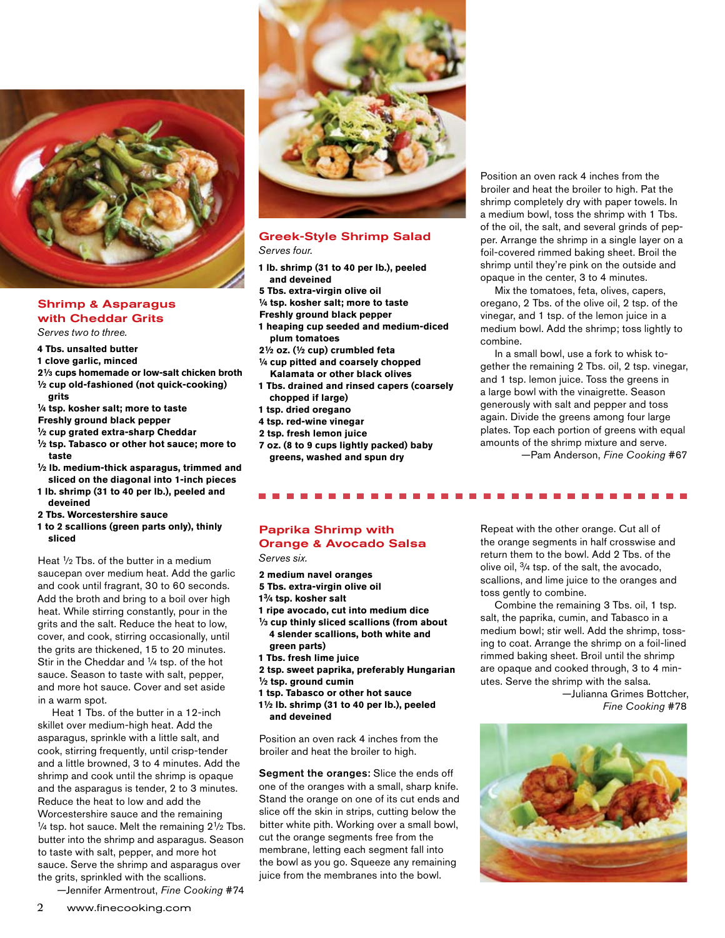

# Shrimp & Asparagus with Cheddar Grits

*Serves two to three.*

- **4 Tbs. unsalted butter**
- **1 clove garlic, minced**
- **21⁄3 cups homemade or low-salt chicken broth 1⁄2 cup old-fashioned (not quick-cooking) grits**
- **1⁄4 tsp. kosher salt; more to taste**
- **Freshly ground black pepper**
- 
- **1⁄2 cup grated extra-sharp Cheddar 1⁄2 tsp. Tabasco or other hot sauce; more to taste**
- **1⁄2 lb. medium-thick asparagus, trimmed and sliced on the diagonal into 1-inch pieces**
- **1 lb. shrimp (31 to 40 per lb.), peeled and deveined**
- **2 Tbs. Worcestershire sauce**
- **1 to 2 scallions (green parts only), thinly sliced**

Heat 1⁄2 Tbs. of the butter in a medium saucepan over medium heat. Add the garlic and cook until fragrant, 30 to 60 seconds. Add the broth and bring to a boil over high heat. While stirring constantly, pour in the grits and the salt. Reduce the heat to low, cover, and cook, stirring occasionally, until the grits are thickened, 15 to 20 minutes. Stir in the Cheddar and 1⁄4 tsp. of the hot sauce. Season to taste with salt, pepper, and more hot sauce. Cover and set aside in a warm spot.

Heat 1 Tbs. of the butter in a 12-inch skillet over medium-high heat. Add the asparagus, sprinkle with a little salt, and cook, stirring frequently, until crisp-tender and a little browned, 3 to 4 minutes. Add the shrimp and cook until the shrimp is opaque and the asparagus is tender, 2 to 3 minutes. Reduce the heat to low and add the Worcestershire sauce and the remaining  $1/4$  tsp. hot sauce. Melt the remaining  $2^{1/2}$  Tbs. butter into the shrimp and asparagus. Season to taste with salt, pepper, and more hot sauce. Serve the shrimp and asparagus over the grits, sprinkled with the scallions.

—Jennifer Armentrout, *Fine Cooking* #74



#### Greek-Style Shrimp Salad *Serves four.*

- **1 lb. shrimp (31 to 40 per lb.), peeled and deveined**
- **5 Tbs. extra-virgin olive oil**
- **1⁄4 tsp. kosher salt; more to taste**
- **Freshly ground black pepper**
- **1 heaping cup seeded and medium-diced plum tomatoes**
- **21⁄2 oz. (1⁄2 cup) crumbled feta**
- **1⁄4 cup pitted and coarsely chopped Kalamata or other black olives**
- **1 Tbs. drained and rinsed capers (coarsely chopped if large)**
- **1 tsp. dried oregano**
- **4 tsp. red-wine vinegar**
- **2 tsp. fresh lemon juice**
- **7 oz. (8 to 9 cups lightly packed) baby greens, washed and spun dry**

#### broiler and heat the broiler to high. Pat the shrimp completely dry with paper towels. In a medium bowl, toss the shrimp with 1 Tbs. of the oil, the salt, and several grinds of pepper. Arrange the shrimp in a single layer on a foil-covered rimmed baking sheet. Broil the shrimp until they're pink on the outside and opaque in the center, 3 to 4 minutes.

Position an oven rack 4 inches from the

Mix the tomatoes, feta, olives, capers, oregano, 2 Tbs. of the olive oil, 2 tsp. of the vinegar, and 1 tsp. of the lemon juice in a medium bowl. Add the shrimp; toss lightly to combine.

In a small bowl, use a fork to whisk together the remaining 2 Tbs. oil, 2 tsp. vinegar, and 1 tsp. lemon juice. Toss the greens in a large bowl with the vinaigrette. Season generously with salt and pepper and toss again. Divide the greens among four large plates. Top each portion of greens with equal amounts of the shrimp mixture and serve.

—Pam Anderson, *Fine Cooking* #67

## Paprika Shrimp with Orange & Avocado Salsa *Serves six.*

- **2 medium navel oranges 5 Tbs. extra-virgin olive oil 13⁄4 tsp. kosher salt 1 ripe avocado, cut into medium dice 1⁄3 cup thinly sliced scallions (from about 4 slender scallions, both white and green parts) 1 Tbs. fresh lime juice 2 tsp. sweet paprika, preferably Hungarian 1⁄2 tsp. ground cumin 1 tsp. Tabasco or other hot sauce**
- **11⁄2 lb. shrimp (31 to 40 per lb.), peeled and deveined**

Position an oven rack 4 inches from the broiler and heat the broiler to high.

Segment the oranges: Slice the ends off one of the oranges with a small, sharp knife. Stand the orange on one of its cut ends and slice off the skin in strips, cutting below the bitter white pith. Working over a small bowl, cut the orange segments free from the membrane, letting each segment fall into the bowl as you go. Squeeze any remaining juice from the membranes into the bowl.

Repeat with the other orange. Cut all of the orange segments in half crosswise and return them to the bowl. Add 2 Tbs. of the olive oil, 3⁄4 tsp. of the salt, the avocado, scallions, and lime juice to the oranges and toss gently to combine.

-----

Combine the remaining 3 Tbs. oil, 1 tsp. salt, the paprika, cumin, and Tabasco in a medium bowl; stir well. Add the shrimp, tossing to coat. Arrange the shrimp on a foil-lined rimmed baking sheet. Broil until the shrimp are opaque and cooked through, 3 to 4 minutes. Serve the shrimp with the salsa.

> —Julianna Grimes Bottcher,  *Fine Cooking* #78

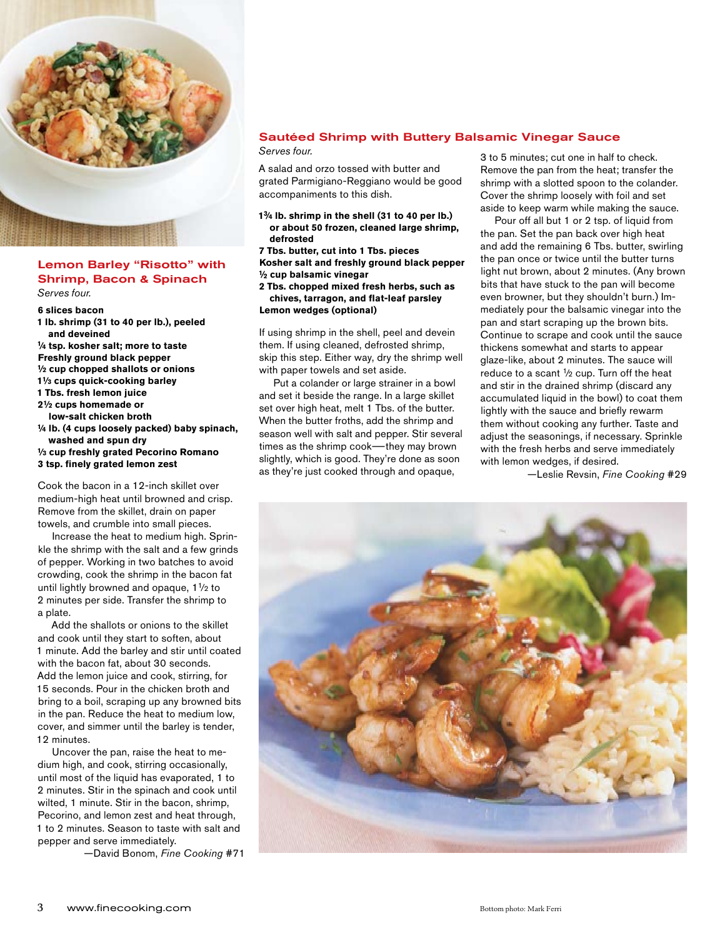

## Lemon Barley "Risotto" with Shrimp, Bacon & Spinach *Serves four.*

**6 slices bacon** 

- **1 lb. shrimp (31 to 40 per lb.), peeled and deveined 1⁄4 tsp. kosher salt; more to taste**
- **Freshly ground black pepper**
- **1⁄2 cup chopped shallots or onions**
- **11⁄3 cups quick-cooking barley**
- **1 Tbs. fresh lemon juice**
- **21⁄2 cups homemade or**
- **low-salt chicken broth**
- **1⁄4 lb. (4 cups loosely packed) baby spinach, washed and spun dry 1⁄3 cup freshly grated Pecorino Romano 3 tsp. finely grated lemon zest**

Cook the bacon in a 12-inch skillet over medium-high heat until browned and crisp. Remove from the skillet, drain on paper towels, and crumble into small pieces.

Increase the heat to medium high. Sprinkle the shrimp with the salt and a few grinds of pepper. Working in two batches to avoid crowding, cook the shrimp in the bacon fat until lightly browned and opaque, 1<sup>1</sup>/2 to 2 minutes per side. Transfer the shrimp to a plate.

Add the shallots or onions to the skillet and cook until they start to soften, about 1 minute. Add the barley and stir until coated with the bacon fat, about 30 seconds. Add the lemon juice and cook, stirring, for 15 seconds. Pour in the chicken broth and bring to a boil, scraping up any browned bits in the pan. Reduce the heat to medium low, cover, and simmer until the barley is tender, 12 minutes.

Uncover the pan, raise the heat to medium high, and cook, stirring occasionally, until most of the liquid has evaporated, 1 to 2 minutes. Stir in the spinach and cook until wilted, 1 minute. Stir in the bacon, shrimp, Pecorino, and lemon zest and heat through, 1 to 2 minutes. Season to taste with salt and pepper and serve immediately.

—David Bonom, *Fine Cooking* #71

# Sautéed Shrimp with Buttery Balsamic Vinegar Sauce

*Serves four.* 

A salad and orzo tossed with butter and grated Parmigiano-Reggiano would be good accompaniments to this dish.

**13⁄4 lb. shrimp in the shell (31 to 40 per lb.) or about 50 frozen, cleaned large shrimp, defrosted**

**7 Tbs. butter, cut into 1 Tbs. pieces Kosher salt and freshly ground black pepper 1⁄2 cup balsamic vinegar**

**2 Tbs. chopped mixed fresh herbs, such as chives, tarragon, and flat-leaf parsley Lemon wedges (optional)**

If using shrimp in the shell, peel and devein them. If using cleaned, defrosted shrimp, skip this step. Either way, dry the shrimp well with paper towels and set aside.

Put a colander or large strainer in a bowl and set it beside the range. In a large skillet set over high heat, melt 1 Tbs. of the butter. When the butter froths, add the shrimp and season well with salt and pepper. Stir several times as the shrimp cook—they may brown slightly, which is good. They're done as soon as they're just cooked through and opaque,

3 to 5 minutes; cut one in half to check. Remove the pan from the heat; transfer the shrimp with a slotted spoon to the colander. Cover the shrimp loosely with foil and set aside to keep warm while making the sauce.

Pour off all but 1 or 2 tsp. of liquid from the pan. Set the pan back over high heat and add the remaining 6 Tbs. butter, swirling the pan once or twice until the butter turns light nut brown, about 2 minutes. (Any brown bits that have stuck to the pan will become even browner, but they shouldn't burn.) Immediately pour the balsamic vinegar into the pan and start scraping up the brown bits. Continue to scrape and cook until the sauce thickens somewhat and starts to appear glaze-like, about 2 minutes. The sauce will reduce to a scant  $\frac{1}{2}$  cup. Turn off the heat and stir in the drained shrimp (discard any accumulated liquid in the bowl) to coat them lightly with the sauce and briefly rewarm them without cooking any further. Taste and adjust the seasonings, if necessary. Sprinkle with the fresh herbs and serve immediately with lemon wedges, if desired.

—Leslie Revsin, *Fine Cooking* #29

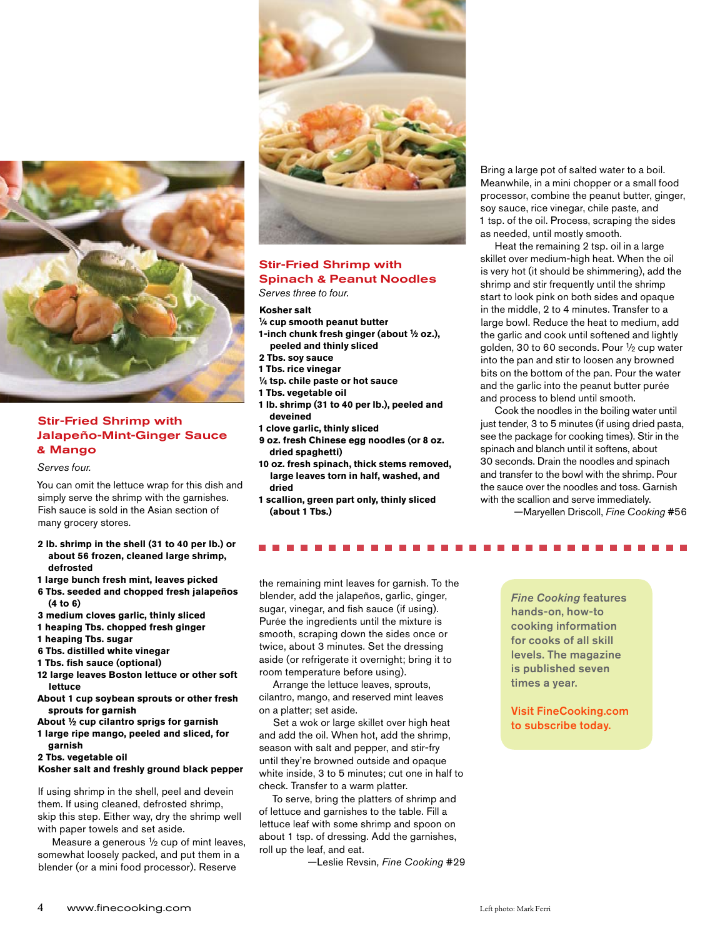

# Stir-Fried Shrimp with Jalapeño-Mint-Ginger Sauce & Mango

*Serves four.* 

You can omit the lettuce wrap for this dish and simply serve the shrimp with the garnishes. Fish sauce is sold in the Asian section of many grocery stores.

- **2 lb. shrimp in the shell (31 to 40 per lb.) or about 56 frozen, cleaned large shrimp, defrosted**
- **1 large bunch fresh mint, leaves picked**
- **6 Tbs. seeded and chopped fresh jalapeños (4 to 6)**
- **3 medium cloves garlic, thinly sliced**
- **1 heaping Tbs. chopped fresh ginger**
- **1 heaping Tbs. sugar**
- **6 Tbs. distilled white vinegar**
- **1 Tbs. fish sauce (optional)**
- **12 large leaves Boston lettuce or other soft lettuce**
- **About 1 cup soybean sprouts or other fresh sprouts for garnish**
- **About 1⁄2 cup cilantro sprigs for garnish**
- **1 large ripe mango, peeled and sliced, for garnish**
- **2 Tbs. vegetable oil**

# **Kosher salt and freshly ground black pepper**

If using shrimp in the shell, peel and devein them. If using cleaned, defrosted shrimp, skip this step. Either way, dry the shrimp well with paper towels and set aside.

Measure a generous <sup>1</sup>/<sub>2</sub> cup of mint leaves, somewhat loosely packed, and put them in a blender (or a mini food processor). Reserve



# Stir-Fried Shrimp with Spinach & Peanut Noodles

*Serves three to four.*

#### **Kosher salt**

- **1⁄4 cup smooth peanut butter**
- **1-inch chunk fresh ginger (about 1⁄2 oz.), peeled and thinly sliced**
- **2 Tbs. soy sauce**
- **1 Tbs. rice vinegar**
- **1⁄4 tsp. chile paste or hot sauce**
- **1 Tbs. vegetable oil**
- **1 lb. shrimp (31 to 40 per lb.), peeled and deveined**
- **1 clove garlic, thinly sliced**
- **9 oz. fresh Chinese egg noodles (or 8 oz. dried spaghetti)**
- **10 oz. fresh spinach, thick stems removed, large leaves torn in half, washed, and dried**
- **1 scallion, green part only, thinly sliced (about 1 Tbs.)**

Bring a large pot of salted water to a boil. Meanwhile, in a mini chopper or a small food processor, combine the peanut butter, ginger, soy sauce, rice vinegar, chile paste, and 1 tsp. of the oil. Process, scraping the sides as needed, until mostly smooth.

Heat the remaining 2 tsp. oil in a large skillet over medium-high heat. When the oil is very hot (it should be shimmering), add the shrimp and stir frequently until the shrimp start to look pink on both sides and opaque in the middle, 2 to 4 minutes. Transfer to a large bowl. Reduce the heat to medium, add the garlic and cook until softened and lightly golden, 30 to 60 seconds. Pour 1⁄2 cup water into the pan and stir to loosen any browned bits on the bottom of the pan. Pour the water and the garlic into the peanut butter purée and process to blend until smooth.

Cook the noodles in the boiling water until just tender, 3 to 5 minutes (if using dried pasta, see the package for cooking times). Stir in the spinach and blanch until it softens, about 30 seconds. Drain the noodles and spinach and transfer to the bowl with the shrimp. Pour the sauce over the noodles and toss. Garnish with the scallion and serve immediately.

—Maryellen Driscoll, *Fine Cooking* #56

the remaining mint leaves for garnish. To the blender, add the jalapeños, garlic, ginger, sugar, vinegar, and fish sauce (if using). Purée the ingredients until the mixture is smooth, scraping down the sides once or twice, about 3 minutes. Set the dressing aside (or refrigerate it overnight; bring it to room temperature before using).

Arrange the lettuce leaves, sprouts, cilantro, mango, and reserved mint leaves on a platter; set aside.

Set a wok or large skillet over high heat and add the oil. When hot, add the shrimp, season with salt and pepper, and stir-fry until they're browned outside and opaque white inside, 3 to 5 minutes; cut one in half to check. Transfer to a warm platter.

To serve, bring the platters of shrimp and of lettuce and garnishes to the table. Fill a lettuce leaf with some shrimp and spoon on about 1 tsp. of dressing. Add the garnishes, roll up the leaf, and eat.

—Leslie Revsin, *Fine Cooking* #29

 *Fine Cooking* features hands-on, how-to cooking information for cooks of all skill levels. The magazine is published seven times a year.

Visit FineCooking.com to subscribe today.